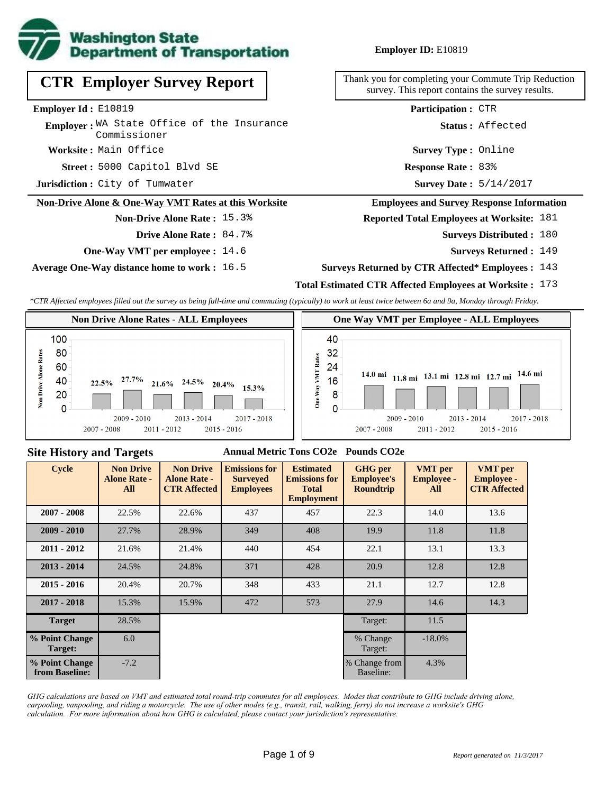

**CTR Employer Survey Report**

Employer: WA State Office of the Insurance

**Non-Drive Alone & One-Way VMT Rates at this Worksite**

**One-Way VMT per employee :** 14.6

**Average One-Way distance home to work :** 16.5

**Non-Drive Alone Rate :** 15.3%

**Drive Alone Rate :** 84.7%

**Worksite :** Main Office

**Employer Id :** E10819

**Jurisdiction :** City of Tumwater

Commissioner

### **Employer ID:** E10819

Thank you for completing your Commute Trip Reduction survey. This report contains the survey results.

**Participation :** CTR

**Status :** Affected

**Survey Type :** Online

5000 Capitol Blvd SE **Response Rate : Street : Response Rate: 83%** 

Survey Date:  $5/14/2017$ 

#### **Employees and Survey Response Information**

### **Reported Total Employees at Worksite:** 181

Surveys Distributed : 180

**Surveys Returned :** 149

**Surveys Returned by CTR Affected\* Employees :** 143

## **Total Estimated CTR Affected Employees at Worksite :** 173

*\*CTR Affected employees filled out the survey as being full-time and commuting (typically) to work at least twice between 6a and 9a, Monday through Friday.*



#### **Site History and Targets**

### **Annual Metric Tons CO2e Pounds CO2e**

| <b>Cycle</b>                     | <b>Non Drive</b><br><b>Alone Rate -</b><br>All | <b>Non Drive</b><br><b>Alone Rate -</b><br><b>CTR Affected</b> | <b>Emissions for</b><br><b>Surveyed</b><br><b>Employees</b> | <b>Estimated</b><br><b>Emissions for</b><br><b>Total</b><br><b>Employment</b> | <b>GHG</b> per<br><b>Employee's</b><br><b>Roundtrip</b> | <b>VMT</b> per<br><b>Employee -</b><br>All | <b>VMT</b> per<br><b>Employee -</b><br><b>CTR Affected</b> |
|----------------------------------|------------------------------------------------|----------------------------------------------------------------|-------------------------------------------------------------|-------------------------------------------------------------------------------|---------------------------------------------------------|--------------------------------------------|------------------------------------------------------------|
| $2007 - 2008$                    | 22.5%                                          | 22.6%                                                          | 437<br>457                                                  |                                                                               | 22.3                                                    | 14.0                                       | 13.6                                                       |
| $2009 - 2010$                    | 27.7%                                          | 28.9%                                                          | 349                                                         | 408                                                                           | 19.9                                                    |                                            | 11.8                                                       |
| $2011 - 2012$                    | 21.6%                                          | 21.4%                                                          | 440                                                         | 454                                                                           | 22.1                                                    | 13.1                                       | 13.3                                                       |
| $2013 - 2014$                    | 24.5%                                          | 24.8%                                                          | 371                                                         | 428                                                                           | 20.9                                                    | 12.8                                       | 12.8                                                       |
| $2015 - 2016$                    | 20.4%                                          | 20.7%                                                          | 348                                                         | 433                                                                           | 21.1                                                    | 12.7                                       | 12.8                                                       |
| $2017 - 2018$                    | 15.3%                                          | 15.9%                                                          | 472                                                         | 573                                                                           | 27.9                                                    | 14.6                                       | 14.3                                                       |
| <b>Target</b>                    | 28.5%                                          |                                                                |                                                             |                                                                               | Target:                                                 | 11.5                                       |                                                            |
| % Point Change<br>Target:        | 6.0                                            |                                                                |                                                             |                                                                               | % Change<br>Target:                                     | $-18.0\%$                                  |                                                            |
| % Point Change<br>from Baseline: | $-7.2$                                         |                                                                |                                                             |                                                                               | % Change from<br>Baseline:                              | 4.3%                                       |                                                            |

*GHG calculations are based on VMT and estimated total round-trip commutes for all employees. Modes that contribute to GHG include driving alone, carpooling, vanpooling, and riding a motorcycle. The use of other modes (e.g., transit, rail, walking, ferry) do not increase a worksite's GHG calculation. For more information about how GHG is calculated, please contact your jurisdiction's representative.*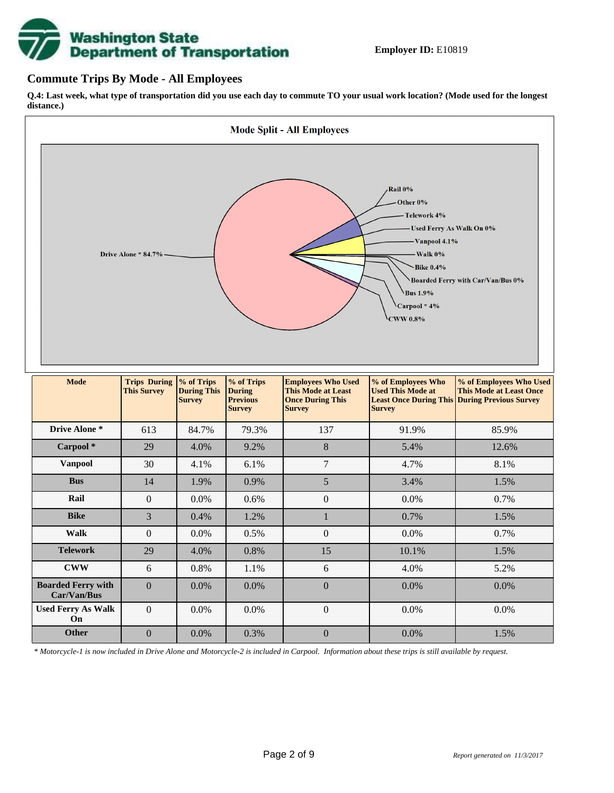

### **Commute Trips By Mode - All Employees**

**Q.4: Last week, what type of transportation did you use each day to commute TO your usual work location? (Mode used for the longest distance.)**



*\* Motorcycle-1 is now included in Drive Alone and Motorcycle-2 is included in Carpool. Information about these trips is still available by request.*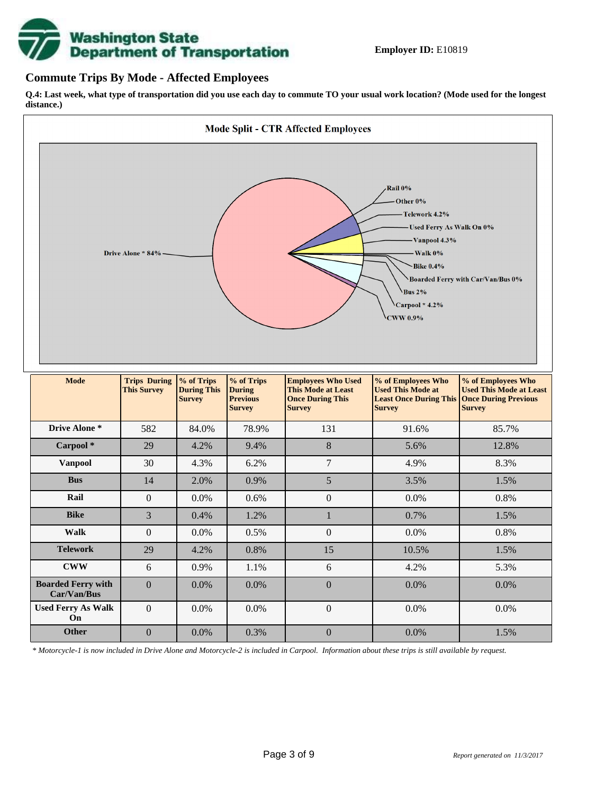

## **Commute Trips By Mode - Affected Employees**

**Q.4: Last week, what type of transportation did you use each day to commute TO your usual work location? (Mode used for the longest distance.)**



*\* Motorcycle-1 is now included in Drive Alone and Motorcycle-2 is included in Carpool. Information about these trips is still available by request.*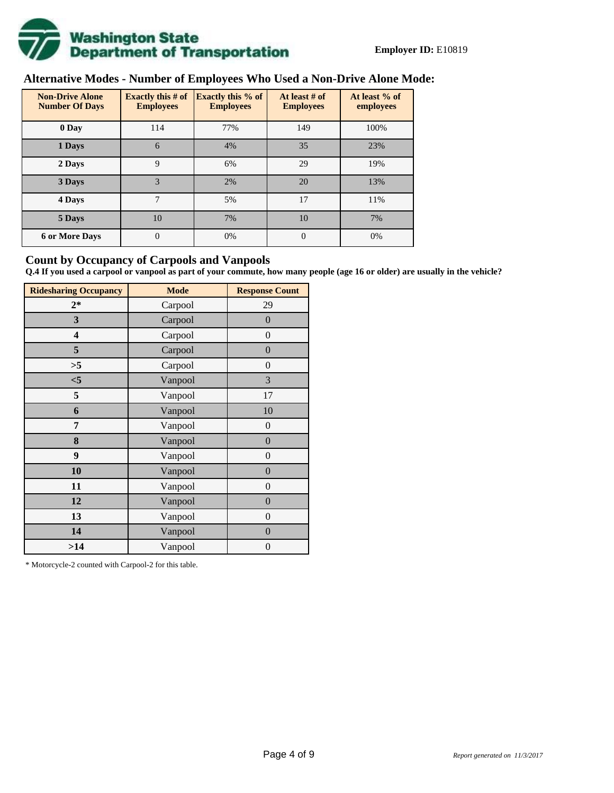

# **Alternative Modes - Number of Employees Who Used a Non-Drive Alone Mode:**

| <b>Non-Drive Alone</b><br><b>Number Of Days</b> | Exactly this $#$ of<br><b>Employees</b> | <b>Exactly this % of</b><br><b>Employees</b> | At least # of<br><b>Employees</b> | At least % of<br>employees |
|-------------------------------------------------|-----------------------------------------|----------------------------------------------|-----------------------------------|----------------------------|
| 0 Day                                           | 114                                     | 77%                                          | 149                               | 100%                       |
| 1 Days                                          | 6                                       | 4%                                           | 35                                | 23%                        |
| 2 Days                                          | 9                                       | 6%                                           | 29                                | 19%                        |
| 3 Days                                          | 3                                       | 2%                                           | 20                                | 13%                        |
| 4 Days                                          | 7                                       | 5%                                           | 17                                | 11%                        |
| 5 Days                                          | 10                                      | 7%                                           | 10                                | 7%                         |
| <b>6 or More Days</b>                           | $\overline{0}$                          | 0%                                           | $\Omega$                          | 0%                         |

## **Count by Occupancy of Carpools and Vanpools**

**Q.4 If you used a carpool or vanpool as part of your commute, how many people (age 16 or older) are usually in the vehicle?**

| <b>Ridesharing Occupancy</b> | <b>Mode</b> | <b>Response Count</b> |
|------------------------------|-------------|-----------------------|
| $2*$                         | Carpool     | 29                    |
| 3                            | Carpool     | $\overline{0}$        |
| 4                            | Carpool     | $\boldsymbol{0}$      |
| 5                            | Carpool     | $\boldsymbol{0}$      |
| >5                           | Carpool     | $\overline{0}$        |
| $<$ 5                        | Vanpool     | 3                     |
| 5                            | Vanpool     | 17                    |
| 6                            | Vanpool     | 10                    |
| 7                            | Vanpool     | $\boldsymbol{0}$      |
| 8                            | Vanpool     | $\boldsymbol{0}$      |
| 9                            | Vanpool     | $\overline{0}$        |
| 10                           | Vanpool     | $\overline{0}$        |
| 11                           | Vanpool     | $\boldsymbol{0}$      |
| 12                           | Vanpool     | $\boldsymbol{0}$      |
| 13                           | Vanpool     | $\boldsymbol{0}$      |
| 14                           | Vanpool     | $\overline{0}$        |
| >14                          | Vanpool     | $\boldsymbol{0}$      |

\* Motorcycle-2 counted with Carpool-2 for this table.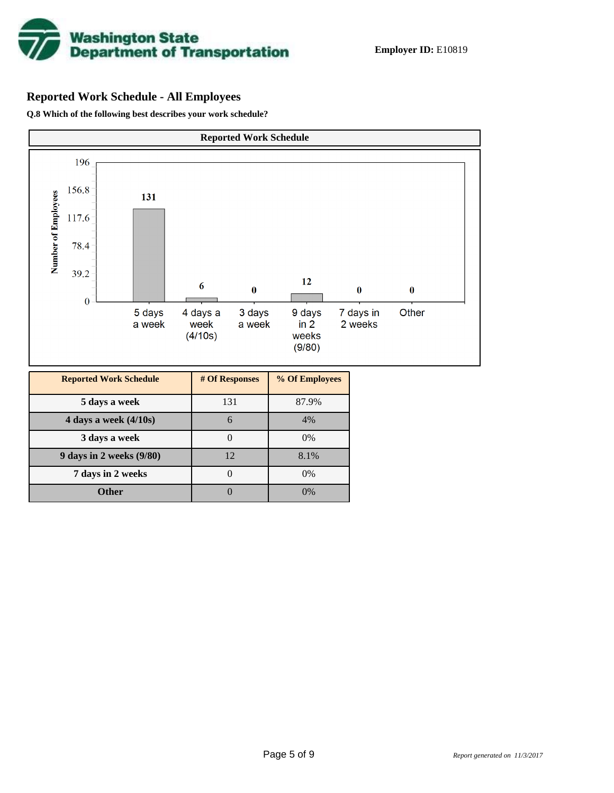

# **Reported Work Schedule - All Employees**

**Q.8 Which of the following best describes your work schedule?**

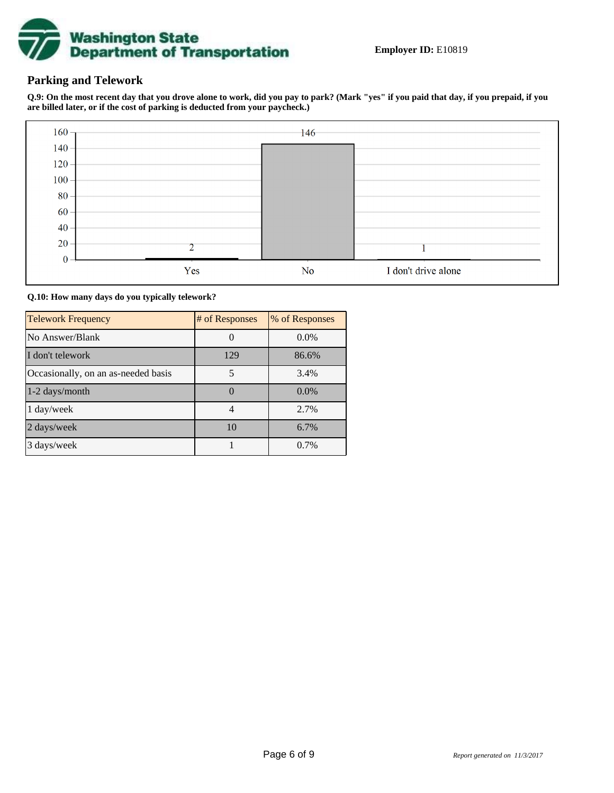

## **Parking and Telework**

**Q.9: On the most recent day that you drove alone to work, did you pay to park? (Mark "yes" if you paid that day, if you prepaid, if you are billed later, or if the cost of parking is deducted from your paycheck.)**



**Q.10: How many days do you typically telework?**

| <b>Telework Frequency</b>           | # of Responses | % of Responses |
|-------------------------------------|----------------|----------------|
| No Answer/Blank                     |                | $0.0\%$        |
| I don't telework                    | 129            | 86.6%          |
| Occasionally, on an as-needed basis | 5              | 3.4%           |
| $1-2$ days/month                    |                | $0.0\%$        |
| 1 day/week                          | 4              | 2.7%           |
| 2 days/week                         | 10             | 6.7%           |
| 3 days/week                         |                | 0.7%           |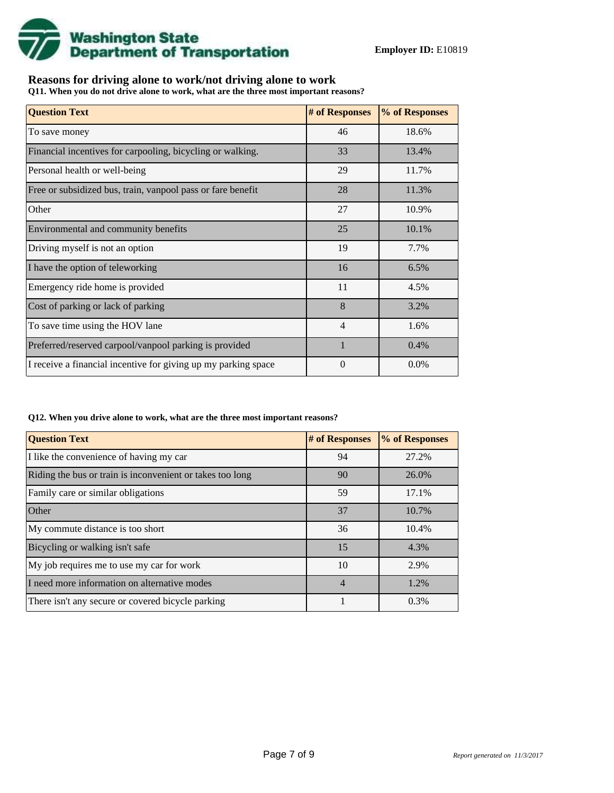

## **Reasons for driving alone to work/not driving alone to work**

**Q11. When you do not drive alone to work, what are the three most important reasons?**

| <b>Question Text</b>                                           | # of Responses | % of Responses |
|----------------------------------------------------------------|----------------|----------------|
| To save money                                                  | 46             | 18.6%          |
| Financial incentives for carpooling, bicycling or walking.     | 33             | 13.4%          |
| Personal health or well-being                                  | 29             | 11.7%          |
| Free or subsidized bus, train, vanpool pass or fare benefit    | 28             | 11.3%          |
| Other                                                          | 27             | 10.9%          |
| Environmental and community benefits                           | 25             | 10.1%          |
| Driving myself is not an option                                | 19             | 7.7%           |
| I have the option of teleworking                               | 16             | 6.5%           |
| Emergency ride home is provided                                | 11             | 4.5%           |
| Cost of parking or lack of parking                             | 8              | 3.2%           |
| To save time using the HOV lane                                | 4              | 1.6%           |
| Preferred/reserved carpool/vanpool parking is provided         | 1              | 0.4%           |
| I receive a financial incentive for giving up my parking space | 0              | 0.0%           |

### **Q12. When you drive alone to work, what are the three most important reasons?**

| <b>Question Text</b>                                      | # of Responses | % of Responses |
|-----------------------------------------------------------|----------------|----------------|
| I like the convenience of having my car                   | 94             | 27.2%          |
| Riding the bus or train is inconvenient or takes too long | 90             | 26.0%          |
| Family care or similar obligations                        | 59             | 17.1%          |
| <b>Other</b>                                              | 37             | 10.7%          |
| My commute distance is too short                          | 36             | 10.4%          |
| Bicycling or walking isn't safe                           | 15             | 4.3%           |
| My job requires me to use my car for work                 | 10             | 2.9%           |
| I need more information on alternative modes              | $\overline{4}$ | 1.2%           |
| There isn't any secure or covered bicycle parking         |                | 0.3%           |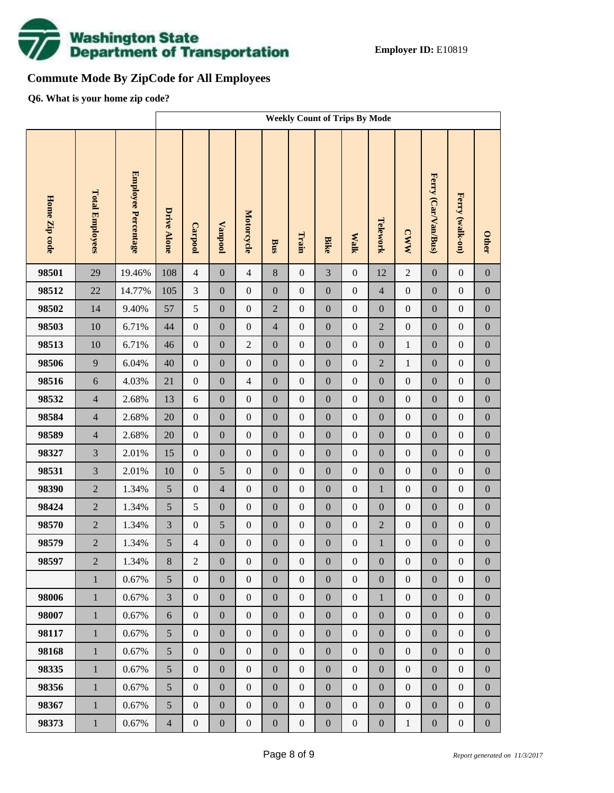

# **Commute Mode By ZipCode for All Employees**

**Q6. What is your home zip code?**

|               |                        |                     | <b>Weekly Count of Trips By Mode</b> |                  |                  |                  |                  |                  |                  |                  |                  |                  |                     |                  |                  |
|---------------|------------------------|---------------------|--------------------------------------|------------------|------------------|------------------|------------------|------------------|------------------|------------------|------------------|------------------|---------------------|------------------|------------------|
| Home Zip code | <b>Total Employees</b> | Employee Percentage | <b>Drive Alone</b>                   | Carpool          | <b>Vanpool</b>   | Motorcycle       | Bus              | Train            | <b>Bike</b>      | <b>Walk</b>      | Telework         | <b>CWW</b>       | Ferry (Car/Van/Bus) | Ferry (walk-on)  | <b>Other</b>     |
| 98501         | 29                     | 19.46%              | 108                                  | $\overline{4}$   | $\boldsymbol{0}$ | $\overline{4}$   | 8                | $\boldsymbol{0}$ | $\overline{3}$   | $\boldsymbol{0}$ | 12               | $\overline{2}$   | $\mathbf{0}$        | $\boldsymbol{0}$ | $\boldsymbol{0}$ |
| 98512         | 22                     | 14.77%              | 105                                  | 3                | $\boldsymbol{0}$ | $\boldsymbol{0}$ | $\boldsymbol{0}$ | $\boldsymbol{0}$ | $\boldsymbol{0}$ | $\boldsymbol{0}$ | $\overline{4}$   | $\boldsymbol{0}$ | $\boldsymbol{0}$    | $\boldsymbol{0}$ | $\boldsymbol{0}$ |
| 98502         | 14                     | 9.40%               | 57                                   | 5                | $\boldsymbol{0}$ | $\boldsymbol{0}$ | $\overline{2}$   | $\boldsymbol{0}$ | $\boldsymbol{0}$ | $\boldsymbol{0}$ | $\boldsymbol{0}$ | $\boldsymbol{0}$ | $\boldsymbol{0}$    | $\boldsymbol{0}$ | $\boldsymbol{0}$ |
| 98503         | 10                     | 6.71%               | 44                                   | $\boldsymbol{0}$ | $\boldsymbol{0}$ | $\boldsymbol{0}$ | $\overline{4}$   | $\boldsymbol{0}$ | $\overline{0}$   | $\boldsymbol{0}$ | $\overline{2}$   | $\boldsymbol{0}$ | $\boldsymbol{0}$    | $\boldsymbol{0}$ | $\boldsymbol{0}$ |
| 98513         | 10                     | 6.71%               | 46                                   | $\boldsymbol{0}$ | $\boldsymbol{0}$ | $\overline{2}$   | $\boldsymbol{0}$ | $\boldsymbol{0}$ | $\boldsymbol{0}$ | $\boldsymbol{0}$ | $\boldsymbol{0}$ | $\,1$            | $\boldsymbol{0}$    | $\boldsymbol{0}$ | $\boldsymbol{0}$ |
| 98506         | 9                      | 6.04%               | 40                                   | $\boldsymbol{0}$ | $\boldsymbol{0}$ | $\boldsymbol{0}$ | $\boldsymbol{0}$ | $\boldsymbol{0}$ | $\overline{0}$   | $\boldsymbol{0}$ | $\overline{2}$   | $\mathbf{1}$     | $\boldsymbol{0}$    | $\boldsymbol{0}$ | $\boldsymbol{0}$ |
| 98516         | $\sqrt{6}$             | 4.03%               | 21                                   | $\boldsymbol{0}$ | $\boldsymbol{0}$ | $\overline{4}$   | $\boldsymbol{0}$ | $\boldsymbol{0}$ | $\boldsymbol{0}$ | $\boldsymbol{0}$ | $\boldsymbol{0}$ | $\boldsymbol{0}$ | $\boldsymbol{0}$    | $\boldsymbol{0}$ | $\boldsymbol{0}$ |
| 98532         | $\overline{4}$         | 2.68%               | 13                                   | 6                | $\boldsymbol{0}$ | $\boldsymbol{0}$ | $\boldsymbol{0}$ | $\boldsymbol{0}$ | $\overline{0}$   | $\boldsymbol{0}$ | $\boldsymbol{0}$ | $\boldsymbol{0}$ | $\boldsymbol{0}$    | $\boldsymbol{0}$ | $\boldsymbol{0}$ |
| 98584         | $\overline{4}$         | 2.68%               | 20                                   | $\boldsymbol{0}$ | $\boldsymbol{0}$ | $\boldsymbol{0}$ | $\boldsymbol{0}$ | $\boldsymbol{0}$ | $\boldsymbol{0}$ | $\boldsymbol{0}$ | $\boldsymbol{0}$ | $\boldsymbol{0}$ | $\boldsymbol{0}$    | $\boldsymbol{0}$ | $\boldsymbol{0}$ |
| 98589         | $\overline{4}$         | 2.68%               | 20                                   | $\boldsymbol{0}$ | $\boldsymbol{0}$ | $\boldsymbol{0}$ | $\boldsymbol{0}$ | $\boldsymbol{0}$ | $\overline{0}$   | $\boldsymbol{0}$ | $\boldsymbol{0}$ | $\boldsymbol{0}$ | $\boldsymbol{0}$    | $\boldsymbol{0}$ | $\boldsymbol{0}$ |
| 98327         | $\overline{3}$         | 2.01%               | 15                                   | $\boldsymbol{0}$ | $\boldsymbol{0}$ | $\boldsymbol{0}$ | $\boldsymbol{0}$ | $\boldsymbol{0}$ | $\boldsymbol{0}$ | $\boldsymbol{0}$ | $\boldsymbol{0}$ | $\boldsymbol{0}$ | $\boldsymbol{0}$    | $\boldsymbol{0}$ | $\boldsymbol{0}$ |
| 98531         | $\overline{3}$         | 2.01%               | 10                                   | $\boldsymbol{0}$ | 5                | $\boldsymbol{0}$ | $\boldsymbol{0}$ | $\boldsymbol{0}$ | $\boldsymbol{0}$ | $\boldsymbol{0}$ | $\boldsymbol{0}$ | $\boldsymbol{0}$ | $\boldsymbol{0}$    | $\boldsymbol{0}$ | $\boldsymbol{0}$ |
| 98390         | $\overline{2}$         | 1.34%               | 5                                    | $\boldsymbol{0}$ | $\overline{4}$   | $\boldsymbol{0}$ | $\boldsymbol{0}$ | $\boldsymbol{0}$ | $\boldsymbol{0}$ | $\boldsymbol{0}$ | $\mathbf{1}$     | $\boldsymbol{0}$ | $\boldsymbol{0}$    | $\boldsymbol{0}$ | $\boldsymbol{0}$ |
| 98424         | $\overline{2}$         | 1.34%               | 5                                    | 5                | $\boldsymbol{0}$ | $\boldsymbol{0}$ | $\boldsymbol{0}$ | $\boldsymbol{0}$ | $\overline{0}$   | $\boldsymbol{0}$ | $\boldsymbol{0}$ | $\boldsymbol{0}$ | $\boldsymbol{0}$    | $\boldsymbol{0}$ | $\boldsymbol{0}$ |
| 98570         | $\overline{2}$         | 1.34%               | 3                                    | $\boldsymbol{0}$ | 5                | $\boldsymbol{0}$ | $\boldsymbol{0}$ | $\boldsymbol{0}$ | $\boldsymbol{0}$ | $\boldsymbol{0}$ | $\sqrt{2}$       | $\boldsymbol{0}$ | $\boldsymbol{0}$    | $\boldsymbol{0}$ | $\boldsymbol{0}$ |
| 98579         | $\overline{2}$         | 1.34%               | $\sqrt{5}$                           | $\overline{4}$   | $\boldsymbol{0}$ | $\boldsymbol{0}$ | $\boldsymbol{0}$ | $\boldsymbol{0}$ | $\mathbf{0}$     | $\boldsymbol{0}$ | $\mathbf{1}$     | $\boldsymbol{0}$ | $\boldsymbol{0}$    | $\boldsymbol{0}$ | $\boldsymbol{0}$ |
| 98597         | $\overline{2}$         | 1.34%               | $8\,$                                | $\overline{c}$   | $\boldsymbol{0}$ | $\boldsymbol{0}$ | $\boldsymbol{0}$ | $\boldsymbol{0}$ | $\boldsymbol{0}$ | $\boldsymbol{0}$ | $\boldsymbol{0}$ | $\boldsymbol{0}$ | $\boldsymbol{0}$    | $\boldsymbol{0}$ | $\boldsymbol{0}$ |
|               | $\mathbf{1}$           | 0.67%               | 5                                    | $\overline{0}$   | $\boldsymbol{0}$ | $\boldsymbol{0}$ | $\boldsymbol{0}$ | $\boldsymbol{0}$ | $\overline{0}$   | $\boldsymbol{0}$ | $\boldsymbol{0}$ | $\boldsymbol{0}$ | $\boldsymbol{0}$    | $\boldsymbol{0}$ | $\overline{0}$   |
| 98006         | $\mathbf{1}$           | 0.67%               | 3                                    | $\boldsymbol{0}$ | $\boldsymbol{0}$ | $\boldsymbol{0}$ | $\boldsymbol{0}$ | $\boldsymbol{0}$ | $\boldsymbol{0}$ | $\boldsymbol{0}$ | $\mathbf{1}$     | $\boldsymbol{0}$ | $\boldsymbol{0}$    | $\boldsymbol{0}$ | $\boldsymbol{0}$ |
| 98007         | $\mathbf{1}$           | 0.67%               | 6                                    | $\boldsymbol{0}$ | $\boldsymbol{0}$ | $\boldsymbol{0}$ | $\boldsymbol{0}$ | $\boldsymbol{0}$ | $\boldsymbol{0}$ | $\boldsymbol{0}$ | $\boldsymbol{0}$ | $\boldsymbol{0}$ | $\boldsymbol{0}$    | $\boldsymbol{0}$ | $\boldsymbol{0}$ |
| 98117         | $\mathbf{1}$           | 0.67%               | 5                                    | $\boldsymbol{0}$ | $\boldsymbol{0}$ | $\boldsymbol{0}$ | $\boldsymbol{0}$ | $\boldsymbol{0}$ | $\overline{0}$   | $\boldsymbol{0}$ | $\boldsymbol{0}$ | $\boldsymbol{0}$ | $\boldsymbol{0}$    | $\boldsymbol{0}$ | $\boldsymbol{0}$ |
| 98168         | $\mathbf{1}$           | 0.67%               | 5                                    | $\boldsymbol{0}$ | $\boldsymbol{0}$ | $\boldsymbol{0}$ | $\boldsymbol{0}$ | $\boldsymbol{0}$ | $\boldsymbol{0}$ | $\boldsymbol{0}$ | $\boldsymbol{0}$ | $\boldsymbol{0}$ | $\boldsymbol{0}$    | $\boldsymbol{0}$ | $\boldsymbol{0}$ |
| 98335         | $\mathbf{1}$           | 0.67%               | 5                                    | $\boldsymbol{0}$ | $\boldsymbol{0}$ | $\boldsymbol{0}$ | $\boldsymbol{0}$ | $\boldsymbol{0}$ | $\overline{0}$   | $\boldsymbol{0}$ | $\boldsymbol{0}$ | $\boldsymbol{0}$ | $\boldsymbol{0}$    | $\boldsymbol{0}$ | $\boldsymbol{0}$ |
| 98356         | $\mathbf{1}$           | 0.67%               | 5                                    | $\boldsymbol{0}$ | $\boldsymbol{0}$ | $\boldsymbol{0}$ | $\boldsymbol{0}$ | $\boldsymbol{0}$ | $\boldsymbol{0}$ | $\boldsymbol{0}$ | $\boldsymbol{0}$ | $\boldsymbol{0}$ | $\boldsymbol{0}$    | $\boldsymbol{0}$ | $\boldsymbol{0}$ |
| 98367         | $\mathbf{1}$           | 0.67%               | 5                                    | $\boldsymbol{0}$ | $\boldsymbol{0}$ | $\boldsymbol{0}$ | $\boldsymbol{0}$ | $\boldsymbol{0}$ | $\overline{0}$   | $\boldsymbol{0}$ | $\boldsymbol{0}$ | $\boldsymbol{0}$ | $\boldsymbol{0}$    | $\boldsymbol{0}$ | $\boldsymbol{0}$ |
| 98373         | $\,1$                  | 0.67%               | $\overline{4}$                       | $\boldsymbol{0}$ | $\boldsymbol{0}$ | $\boldsymbol{0}$ | $\boldsymbol{0}$ | $\boldsymbol{0}$ | $\boldsymbol{0}$ | $\boldsymbol{0}$ | $\boldsymbol{0}$ | $\mathbf{1}$     | $\boldsymbol{0}$    | $\boldsymbol{0}$ | $\boldsymbol{0}$ |